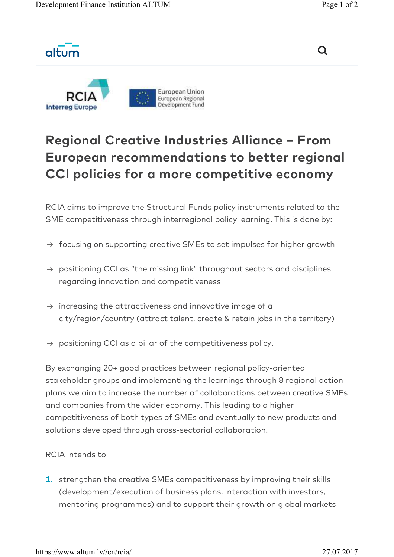altum





## Regional Creative Industries Alliance – From European recommendations to better regional CCI policies for a more competitive economy

RCIA aims to improve the Structural Funds policy instruments related to the SME competitiveness through interregional policy learning. This is done by:

- $\rightarrow$  focusing on supporting creative SMEs to set impulses for higher growth
- $\rightarrow$  positioning CCI as "the missing link" throughout sectors and disciplines regarding innovation and competitiveness
- $\rightarrow$  increasing the attractiveness and innovative image of a city/region/country (attract talent, create & retain jobs in the territory)
- $\rightarrow$  positioning CCI as a pillar of the competitiveness policy.

By exchanging 20+ good practices between regional policy-oriented stakeholder groups and implementing the learnings through 8 regional action plans we aim to increase the number of collaborations between creative SMEs and companies from the wider economy. This leading to a higher competitiveness of both types of SMEs and eventually to new products and solutions developed through cross-sectorial collaboration.

## RCIA intends to

**1.** strengthen the creative SMEs competitiveness by improving their skills (development/execution of business plans, interaction with investors, mentoring programmes) and to support their growth on global markets